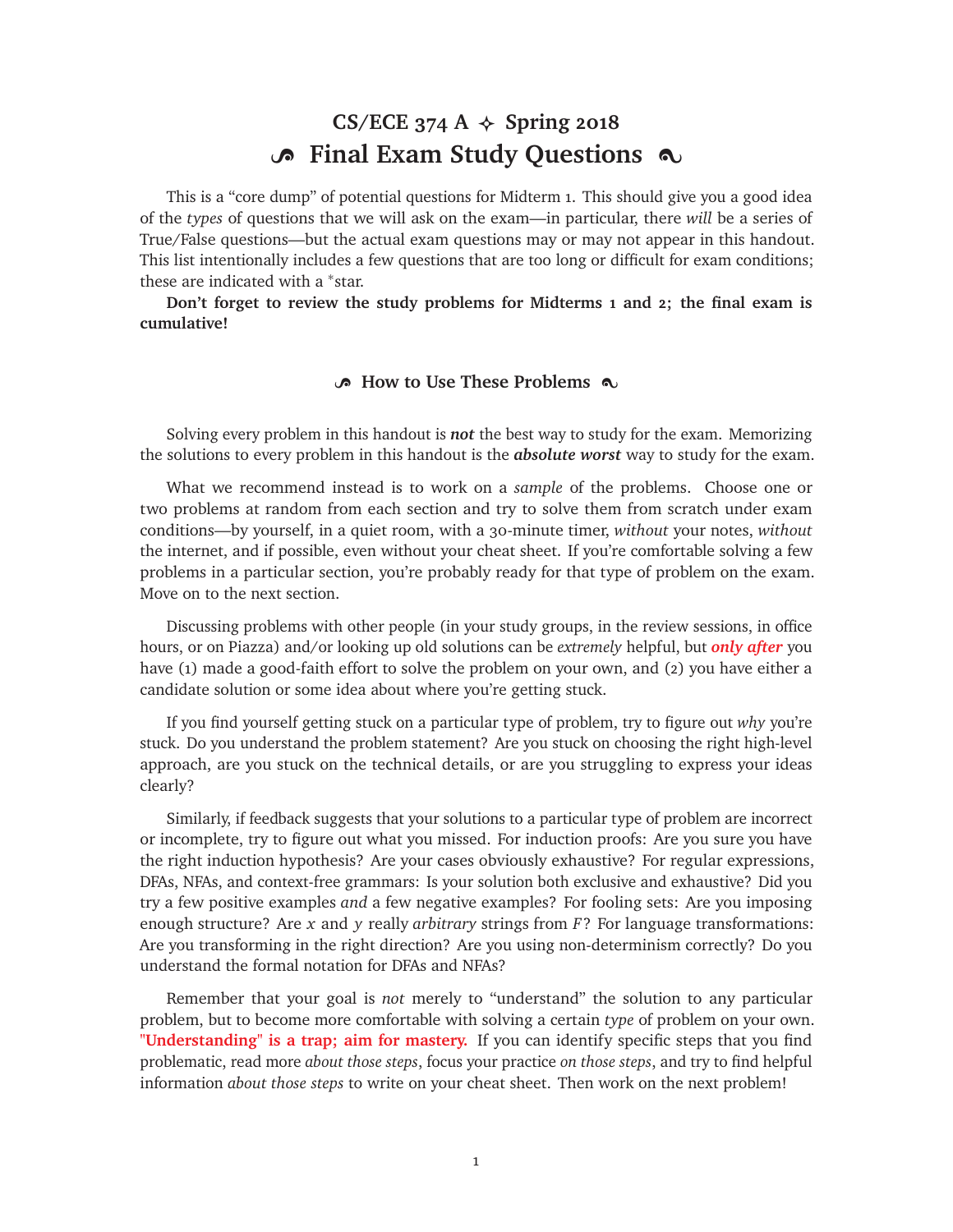# CS/ECE 374 A  $\triangle$  Spring 2018 **B** Final Exam Study Questions  $\infty$

This is a "core dump" of potential questions for Midterm 1. This should give you a good idea of the *types* of questions that we will ask on the exam—in particular, there *will* be a series of True/False questions—but the actual exam questions may or may not appear in this handout. This list intentionally includes a few questions that are too long or difficult for exam conditions; these are indicated with a <sup>∗</sup>star.

**Don't forget to review the study problems for Midterms 1 and 2; the final exam is cumulative!**

#### **B** How to Use These Problems  $\infty$

Solving every problem in this handout is *not* the best way to study for the exam. Memorizing the solutions to every problem in this handout is the *absolute worst* way to study for the exam.

What we recommend instead is to work on a *sample* of the problems. Choose one or two problems at random from each section and try to solve them from scratch under exam conditions—by yourself, in a quiet room, with a 30-minute timer, *without* your notes, *without* the internet, and if possible, even without your cheat sheet. If you're comfortable solving a few problems in a particular section, you're probably ready for that type of problem on the exam. Move on to the next section.

Discussing problems with other people (in your study groups, in the review sessions, in office hours, or on Piazza) and/or looking up old solutions can be *extremely* helpful, but *only after* you have (1) made a good-faith effort to solve the problem on your own, and (2) you have either a candidate solution or some idea about where you're getting stuck.

If you find yourself getting stuck on a particular type of problem, try to figure out *why* you're stuck. Do you understand the problem statement? Are you stuck on choosing the right high-level approach, are you stuck on the technical details, or are you struggling to express your ideas clearly?

Similarly, if feedback suggests that your solutions to a particular type of problem are incorrect or incomplete, try to figure out what you missed. For induction proofs: Are you sure you have the right induction hypothesis? Are your cases obviously exhaustive? For regular expressions, DFAs, NFAs, and context-free grammars: Is your solution both exclusive and exhaustive? Did you try a few positive examples *and* a few negative examples? For fooling sets: Are you imposing enough structure? Are *x* and *y* really *arbitrary* strings from *F*? For language transformations: Are you transforming in the right direction? Are you using non-determinism correctly? Do you understand the formal notation for DFAs and NFAs?

Remember that your goal is *not* merely to "understand" the solution to any particular problem, but to become more comfortable with solving a certain *type* of problem on your own. **"Understanding" is a trap; aim for mastery.** If you can identify specific steps that you find problematic, read more *about those steps*, focus your practice *on those steps*, and try to find helpful information *about those steps* to write on your cheat sheet. Then work on the next problem!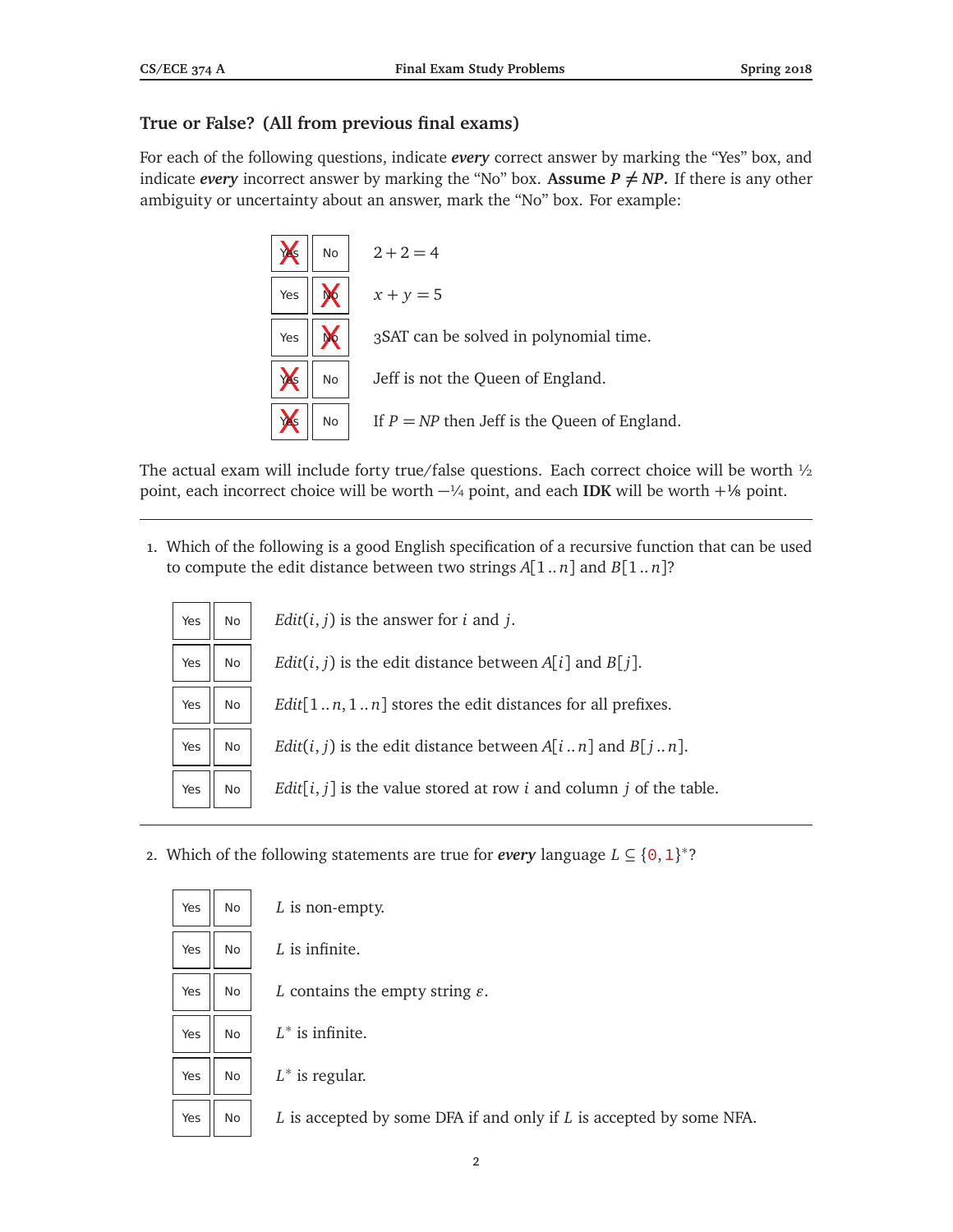## **True or False? (All from previous final exams)**

For each of the following questions, indicate *every* correct answer by marking the "Yes" box, and indicate *every* incorrect answer by marking the "No" box. Assume  $P \neq NP$ . If there is any other ambiguity or uncertainty about an answer, mark the "No" box. For example:



The actual exam will include forty true/false questions. Each correct choice will be worth 1/2 point, each incorrect choice will be worth −¼ point, and each **IDK** will be worth + ⅛ point.

1. Which of the following is a good English specification of a recursive function that can be used to compute the edit distance between two strings  $A[1..n]$  and  $B[1..n]$ ?

| Yes | <b>No</b> | <i>Edit</i> ( $i$ , $j$ ) is the answer for $i$ and $j$ .                              |
|-----|-----------|----------------------------------------------------------------------------------------|
| Yes | No        | <i>Edit</i> ( <i>i</i> , <i>j</i> ) is the edit distance between $A[i]$ and $B[i]$ .   |
| Yes | No        | <i>Edit</i> $[1n, 1n]$ stores the edit distances for all prefixes.                     |
| Yes | <b>No</b> | <i>Edit</i> ( <i>i</i> , <i>j</i> ) is the edit distance between $A[in]$ and $B[jn]$ . |
| Yes | No.       | $Edit[i, j]$ is the value stored at row <i>i</i> and column <i>j</i> of the table.     |

2. Which of the following statements are true for *every* language  $L \subseteq \{0, 1\}^*$ ?

| Yes | No  | $L$ is non-empty.                                                   |
|-----|-----|---------------------------------------------------------------------|
| Yes | No. | $L$ is infinite.                                                    |
| Yes | No  | L contains the empty string $\varepsilon$ .                         |
| Yes | No. | $L^*$ is infinite.                                                  |
| Yes | No  | $L^*$ is regular.                                                   |
| Yes | No  | L is accepted by some DFA if and only if L is accepted by some NFA. |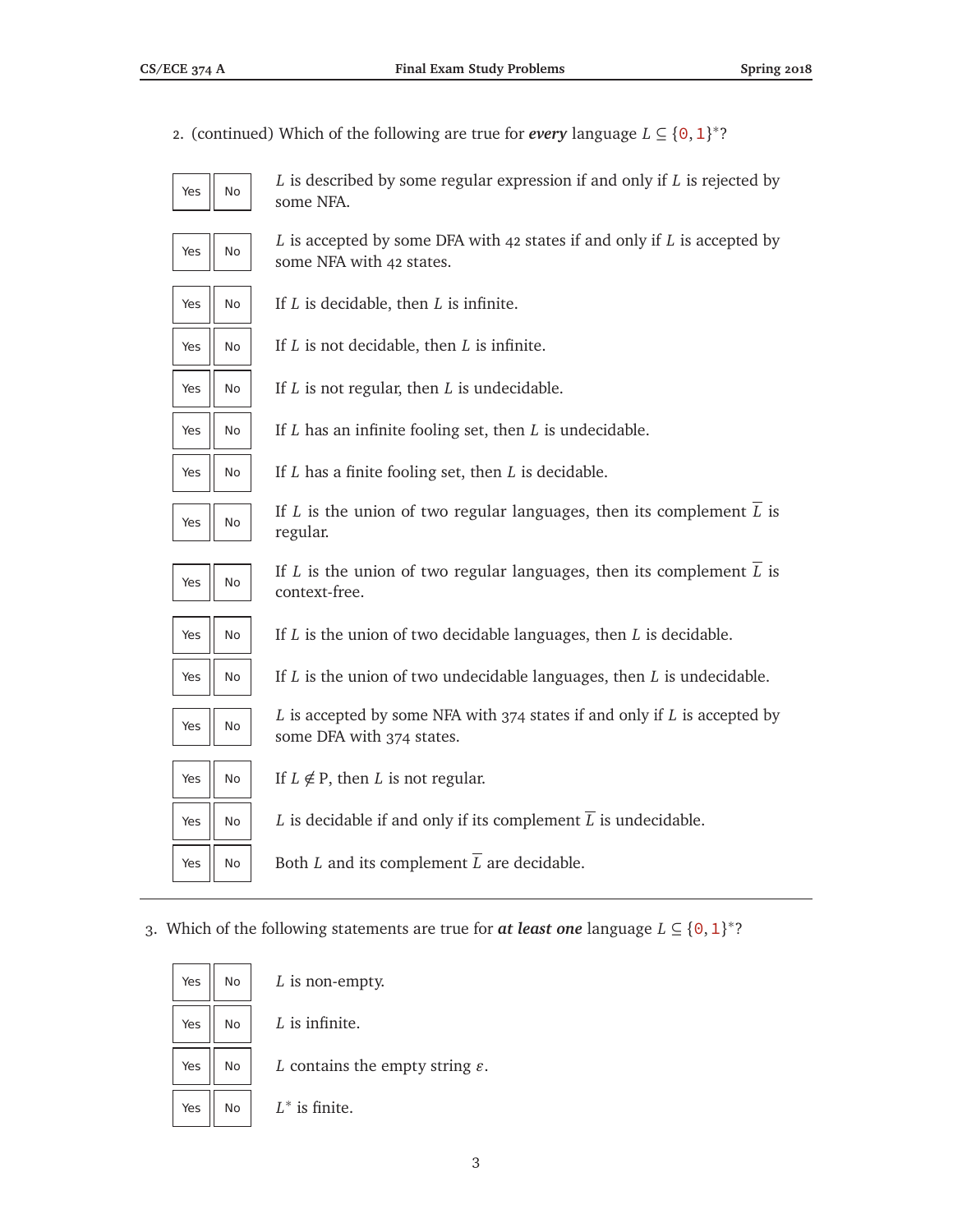2. (continued) Which of the following are true for *every* language  $L \subseteq \{0, 1\}^*$ ?



*L* is described by some regular expression if and only if *L* is rejected by some NFA.



*L* is accepted by some DFA with 42 states if and only if *L* is accepted by some NFA with 42 states.



 $Yes \parallel No \parallel If L is decidable, then L is infinite.$ 

 $Yes \parallel No \parallel If L is not decidable, then L is infinite.$ 

 $Yes \parallel No \parallel If L$  is not regular, then *L* is undecidable.

 $Yes \parallel No \parallel If L$  has an infinite fooling set, then *L* is undecidable.



 $Yes \parallel No \parallel H$  *If L* has a finite fooling set, then *L* is decidable.

Yes  $\parallel$  No

If *L* is the union of two regular languages, then its complement  $\overline{L}$  is regular.



If *L* is the union of two regular languages, then its complement  $\overline{L}$  is context-free.



 $Yes \parallel No \parallel If L$  is the union of two decidable languages, then *L* is decidable.



 $Yes \parallel No \parallel H$  is the union of two undecidable languages, then *L* is undecidable.

Yes  $\parallel$  No

*L* is accepted by some NFA with 374 states if and only if *L* is accepted by some DFA with 374 states.

If  $L \notin P$ , then *L* is not regular.

Yes  $\parallel$  No  $\parallel$  *L* is decidable if and only if its complement  $\overline{L}$  is undecidable.

Yes  $\parallel$  No  $\parallel$  Both *L* and its complement  $\overline{L}$  are decidable.

3. Which of the following statements are true for **at least one** language  $L \subseteq \{0, 1\}^*$ ?

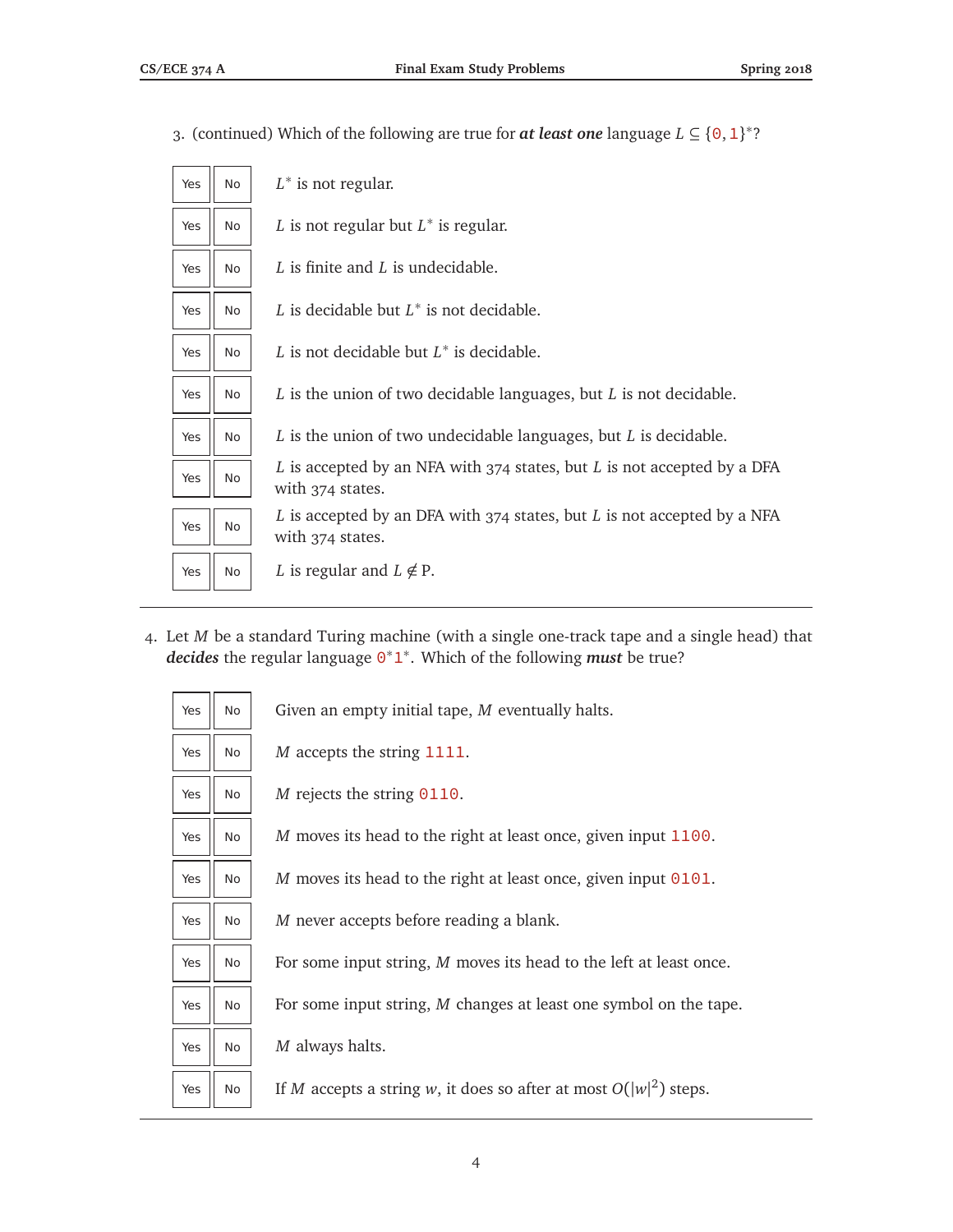| <b>No</b><br>Yes | $L^*$ is not regular.                                                                       |
|------------------|---------------------------------------------------------------------------------------------|
| <b>No</b><br>Yes | L is not regular but $L^*$ is regular.                                                      |
| No<br>Yes        | L is finite and L is undecidable.                                                           |
| <b>No</b><br>Yes | L is decidable but $L^*$ is not decidable.                                                  |
| Yes<br><b>No</b> | L is not decidable but $L^*$ is decidable.                                                  |
| <b>No</b><br>Yes | $L$ is the union of two decidable languages, but $L$ is not decidable.                      |
| Yes<br><b>No</b> | L is the union of two undecidable languages, but L is decidable.                            |
| Yes<br>No        | L is accepted by an NFA with 374 states, but L is not accepted by a DFA<br>with 374 states. |
| <b>No</b><br>Yes | L is accepted by an DFA with 374 states, but L is not accepted by a NFA<br>with 374 states. |
| No<br>Yes        | L is regular and $L \notin P$ .                                                             |

3. (continued) Which of the following are true for **at least one** language  $L \subseteq \{0, 1\}^*$ ?

4. Let *M* be a standard Turing machine (with a single one-track tape and a single head) that *decides* the regular language 0 ∗1 ∗ . Which of the following *must* be true?

| Yes | <b>No</b> | Given an empty initial tape, M eventually halts.                    |  |
|-----|-----------|---------------------------------------------------------------------|--|
| Yes | <b>No</b> | <i>M</i> accepts the string 1111.                                   |  |
| Yes | <b>No</b> | <i>M</i> rejects the string $0110$ .                                |  |
| Yes | No.       | M moves its head to the right at least once, given input 1100.      |  |
| Yes | No        | M moves its head to the right at least once, given input $0101$ .   |  |
| Yes | No.       | M never accepts before reading a blank.                             |  |
| Yes | No        | For some input string, M moves its head to the left at least once.  |  |
| Yes | No        | For some input string, M changes at least one symbol on the tape.   |  |
| Yes | No.       | M always halts.                                                     |  |
| Yes | No.       | If M accepts a string w, it does so after at most $O( w ^2)$ steps. |  |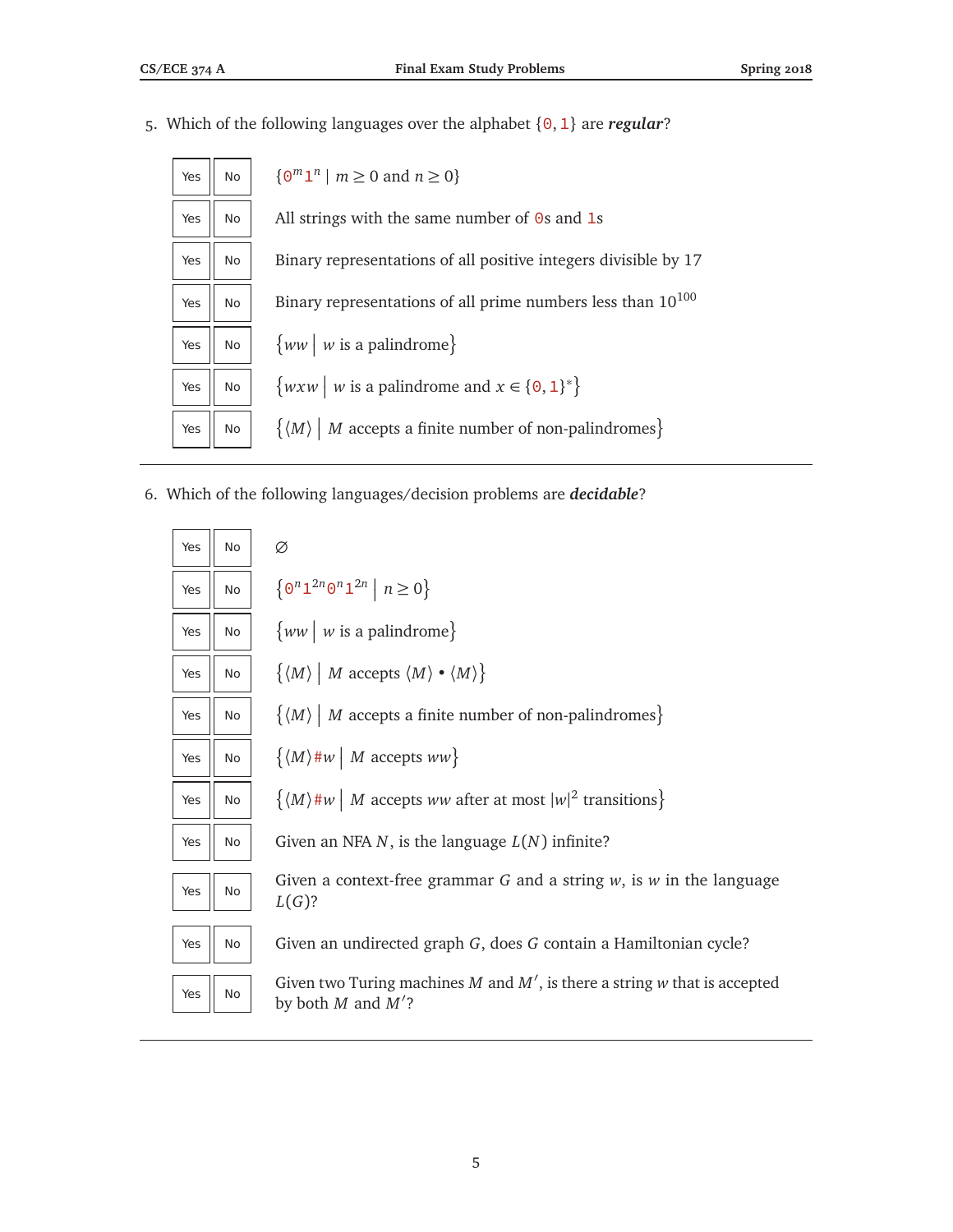5. Which of the following languages over the alphabet {0,1} are *regular*?

| Yes | No | $\{ \Theta^m \mathbf{1}^n \mid m \geq 0 \text{ and } n \geq 0 \}$                   |
|-----|----|-------------------------------------------------------------------------------------|
| Yes | No | All strings with the same number of $\Theta$ s and 1s                               |
| Yes | No | Binary representations of all positive integers divisible by 17                     |
| Yes | No | Binary representations of all prime numbers less than 10 <sup>100</sup>             |
| Yes | No | $\{ww   w$ is a palindrome}                                                         |
| Yes | No | $\{w x w \mid w \text{ is a palindrome and } x \in \{0, 1\}^*\}$                    |
| Yes | No | $\{ \langle M \rangle \mid M \text{ accepts a finite number of non-palindromes} \}$ |

6. Which of the following languages/decision problems are *decidable*?

| Yes | <b>No</b> | Ø                                                                                                     |
|-----|-----------|-------------------------------------------------------------------------------------------------------|
| Yes | <b>No</b> | $\left\{\Theta^n\mathbb{1}^{2n}\Theta^n\mathbb{1}^{2n} \middle  n\geq 0\right\}$                      |
| Yes | No        | $\{ww \mid w \text{ is a palindrome}\}\$                                                              |
| Yes | No        | $\{\langle M \rangle \mid M \text{ accepts } \langle M \rangle \bullet \langle M \rangle \}$          |
| Yes | No        | $\{ \langle M \rangle \mid M \text{ accepts a finite number of non-palindromes} \}$                   |
| Yes | <b>No</b> | $\{\langle M \rangle \# w \mid M \text{ accepts } ww\}$                                               |
| Yes | No        | $\{(M) \# w \mid M \text{ accepts } ww \text{ after at most }  w ^2 \text{ transitions}\}\$           |
| Yes | <b>No</b> | Given an NFA $N$ , is the language $L(N)$ infinite?                                                   |
| Yes | No        | Given a context-free grammar $G$ and a string $w$ , is $w$ in the language<br>$L(G)$ ?                |
| Yes | <b>No</b> | Given an undirected graph G, does G contain a Hamiltonian cycle?                                      |
| Yes | No        | Given two Turing machines M and $M'$ , is there a string w that is accepted<br>by both $M$ and $M'$ ? |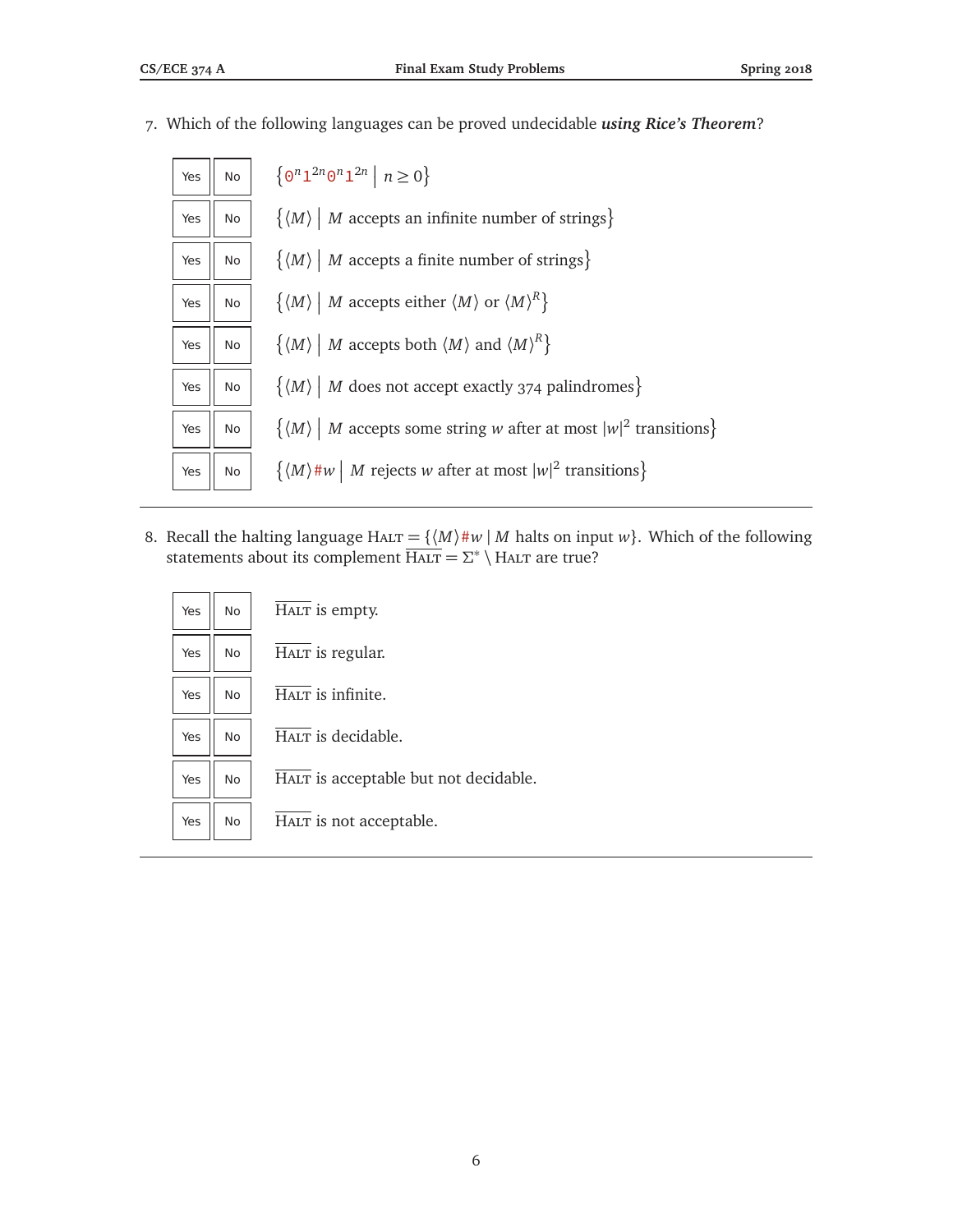7. Which of the following languages can be proved undecidable *using Rice's Theorem*?

| Yes | No | $\{0^n1^{2n}0^n1^{2n} \mid n \ge 0\}$                                                                            |
|-----|----|------------------------------------------------------------------------------------------------------------------|
| Yes | No | $\{ \langle M \rangle \mid M \text{ accepts an infinite number of strings} \}$                                   |
| Yes | No | $\{ \langle M \rangle \mid M \text{ accepts a finite number of strings} \}$                                      |
| Yes | No | $\{\langle M\rangle \mid M \text{ accepts either } \langle M\rangle \text{ or } \langle M\rangle^R\}$            |
| Yes | No | $\{\langle M\rangle \mid M \text{ accepts both } \langle M\rangle \text{ and } \langle M\rangle^R\}$             |
| Yes | No | $\{ \langle M \rangle \mid M \text{ does not accept exactly } 374 \text{ palindromes} \}$                        |
| Yes | No | $\{ \langle M \rangle \mid M \text{ accepts some string } w \text{ after at most }  w ^2 \text{ transitions} \}$ |
| Yes | No | $\{(M) \# w \mid M \text{ rejects } w \text{ after at most }  w ^2 \text{ transitions}\}\$                       |

8. Recall the halting language HALT =  $\{ \langle M \rangle \# w \mid M \text{ halts on input } w \}$ . Which of the following statements about its complement  $\overline{H_{\text{ALT}}} = \Sigma^* \setminus H_{\text{ALT}}$  are true?

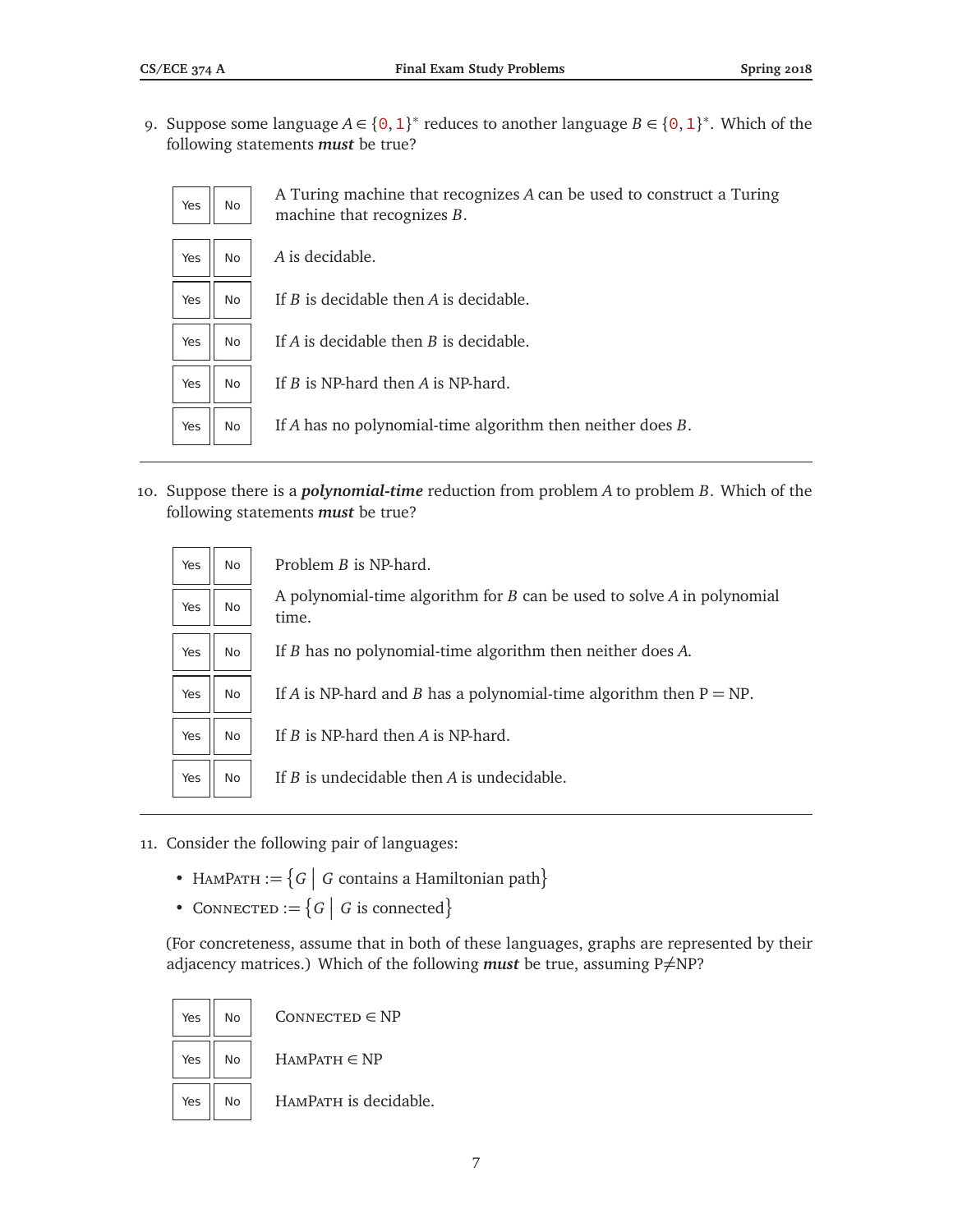9. Suppose some language  $A \in \{0, 1\}^*$  reduces to another language  $B \in \{0, 1\}^*$ . Which of the following statements *must* be true?

| Yes | No        | A Turing machine that recognizes A can be used to construct a Turing<br>machine that recognizes B. |
|-----|-----------|----------------------------------------------------------------------------------------------------|
| Yes | <b>No</b> | A is decidable.                                                                                    |
| Yes | <b>No</b> | If B is decidable then A is decidable.                                                             |
| Yes | <b>No</b> | If $A$ is decidable then $B$ is decidable.                                                         |
| Yes | <b>No</b> | If $B$ is NP-hard then $A$ is NP-hard.                                                             |
| Yes | No.       | If A has no polynomial-time algorithm then neither does $B$ .                                      |

10. Suppose there is a *polynomial-time* reduction from problem *A* to problem *B*. Which of the following statements *must* be true?

|     |     | Problem <i>B</i> is NP-hard.                                               |
|-----|-----|----------------------------------------------------------------------------|
| Yes | No. |                                                                            |
| Yes | No. | A polynomial-time algorithm for $B$ can be used to solve $A$ in polynomial |
|     |     | time.                                                                      |
| Yes | No  | If B has no polynomial-time algorithm then neither does A.                 |
|     |     |                                                                            |
| Yes | No. | If A is NP-hard and B has a polynomial-time algorithm then $P = NP$ .      |
|     |     |                                                                            |
| Yes | No. | If <i>B</i> is NP-hard then <i>A</i> is NP-hard.                           |
|     |     |                                                                            |
| Yes | No  | If $B$ is undecidable then $A$ is undecidable.                             |

- 11. Consider the following pair of languages:
	- HAMPATH  $:= \{ G \mid G \text{ contains a Hamiltonian path} \}$
	- CONNECTED  $:= \{ G \mid G \text{ is connected} \}$

(For concreteness, assume that in both of these languages, graphs are represented by their adjacency matrices.) Which of the following *must* be true, assuming  $P \neq NP$ ?

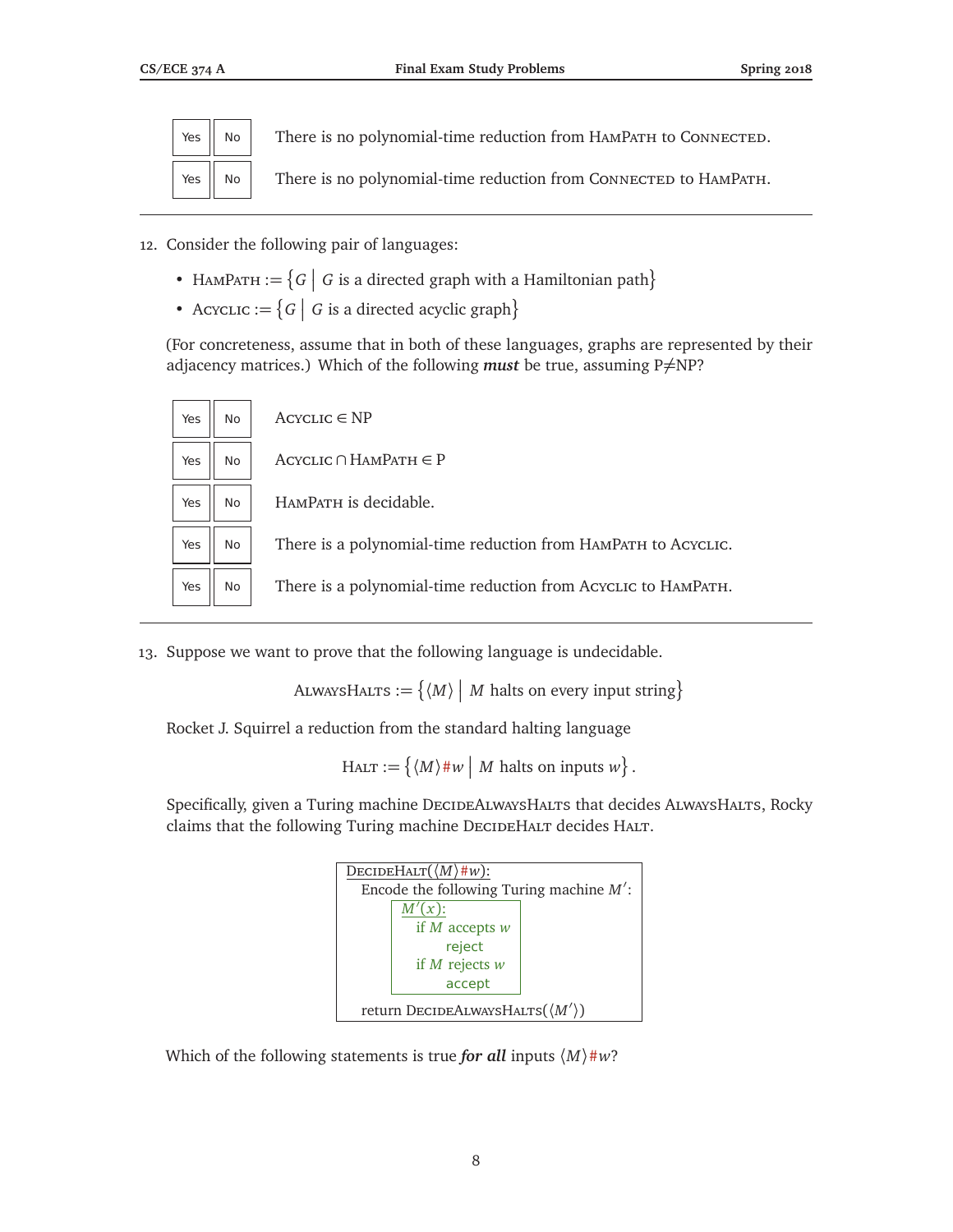

 $Yes \parallel No \parallel$  There is no polynomial-time reduction from HAMPATH to CONNECTED.

Yes  $\parallel$  No  $\parallel$  There is no polynomial-time reduction from CONNECTED to HAMPATH.

- 12. Consider the following pair of languages:
	- HAMPATH :=  $\{G \mid G$  is a directed graph with a Hamiltonian path $\}$
	- Acyclic  $:= \{ G \mid G$  is a directed acyclic graph $\}$

(For concreteness, assume that in both of these languages, graphs are represented by their adjacency matrices.) Which of the following *must* be true, assuming  $P\neq NP$ ?



13. Suppose we want to prove that the following language is undecidable.

ALWAYSHALTS :=  $\{ \langle M \rangle \mid M \text{ halts on every input string} \}$ 

Rocket J. Squirrel a reduction from the standard halting language

 $H_{\text{ALT}} := \{ \langle M \rangle \# w \mid M \text{ halts on inputs } w \}.$ 

Specifically, given a Turing machine DECIDEALWAYSHALTS that decides ALWAYSHALTS, Rocky claims that the following Turing machine DECIDEHALT decides HALT.

| DECIDEHALT $(\langle M \rangle \# w)$ :         |                                            |  |
|-------------------------------------------------|--------------------------------------------|--|
|                                                 | Encode the following Turing machine $M'$ : |  |
|                                                 | $M'(x)$ :                                  |  |
|                                                 | if $M$ accepts $w$                         |  |
|                                                 | reject                                     |  |
|                                                 | if $M$ rejects $w$                         |  |
|                                                 | accept                                     |  |
| return DECIDEALWAYSHALTS $(\langle M' \rangle)$ |                                            |  |

Which of the following statements is true *for all* inputs  $\langle M \rangle \# w$ ?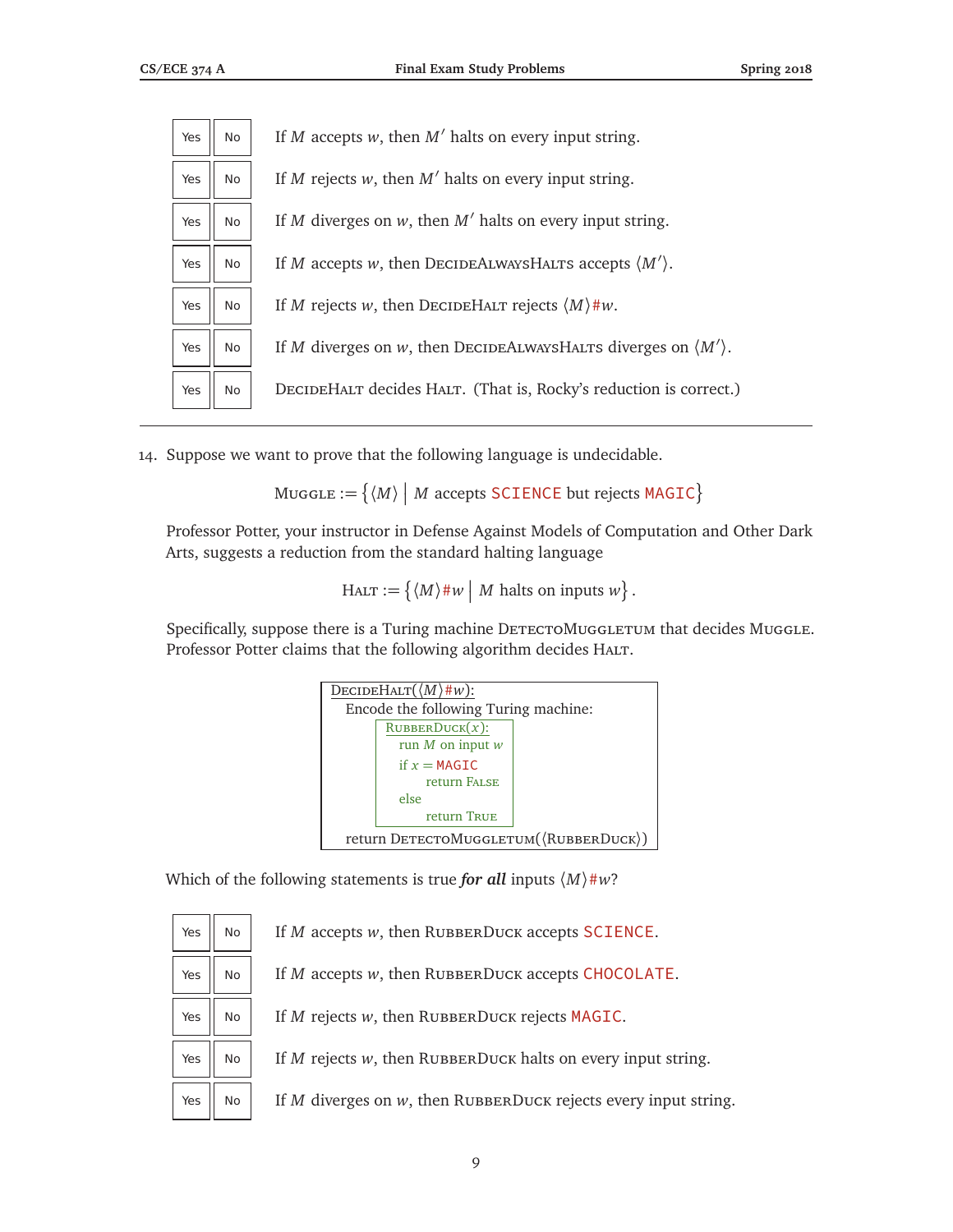| Yes | No. | If M accepts w, then $M'$ halts on every input string.                        |
|-----|-----|-------------------------------------------------------------------------------|
| Yes | No. | If M rejects w, then $M'$ halts on every input string.                        |
| Yes | No. | If M diverges on $w$ , then $M'$ halts on every input string.                 |
| Yes | No  | If M accepts w, then DECIDEALWAYSHALTS accepts $\langle M' \rangle$ .         |
| Yes | No. | If M rejects w, then DECIDEHALT rejects $\langle M \rangle$ #w.               |
| Yes | No. | If M diverges on w, then DECIDEALWAYSHALTS diverges on $\langle M' \rangle$ . |
| Yes | No. | DECIDEHALT decides HALT. (That is, Rocky's reduction is correct.)             |

14. Suppose we want to prove that the following language is undecidable.

 $\textsf{MuggLE}:=\big\{\langle M\rangle\ \big|\ M\text{ accepts SCIENCE but rejects MAGIC}\big\}$ 

Professor Potter, your instructor in Defense Against Models of Computation and Other Dark Arts, suggests a reduction from the standard halting language

 $H_{\text{ALT}} := \{ \langle M \rangle \# w \mid M \text{ halts on inputs } w \}.$ 

Specifically, suppose there is a Turing machine DETECTOMUGGLETUM that decides Muggle. Professor Potter claims that the following algorithm decides HALT.

| DECIDEHALT $(\langle M \rangle \# w)$ : |  |  |  |
|-----------------------------------------|--|--|--|
| Encode the following Turing machine:    |  |  |  |
| $RUBBERDuck(x)$ :                       |  |  |  |
| run $M$ on input $w$                    |  |  |  |
| if $x = MAGIC$                          |  |  |  |
| return FALSE                            |  |  |  |
| else                                    |  |  |  |
| return TRUE                             |  |  |  |
| return DETECTOMUGGLETUM( (RUBBERDUCK))  |  |  |  |

Which of the following statements is true *for all* inputs  $\langle M \rangle \# w$ ?

| Yes | <b>No</b> | If <i>M</i> accepts <i>w</i> , then RUBBERDUCK accepts SCIENCE.      |
|-----|-----------|----------------------------------------------------------------------|
| Yes | No.       | If $M$ accepts $w$ , then RUBBERDUCK accepts CHOCOLATE.              |
| Yes | No        | If M rejects w, then RUBBERDUCK rejects MAGIC.                       |
| Yes | No        | If $M$ rejects $w$ , then RUBBERDUCK halts on every input string.    |
| Yes | No        | If $M$ diverges on $w$ , then RUBBERDUCK rejects every input string. |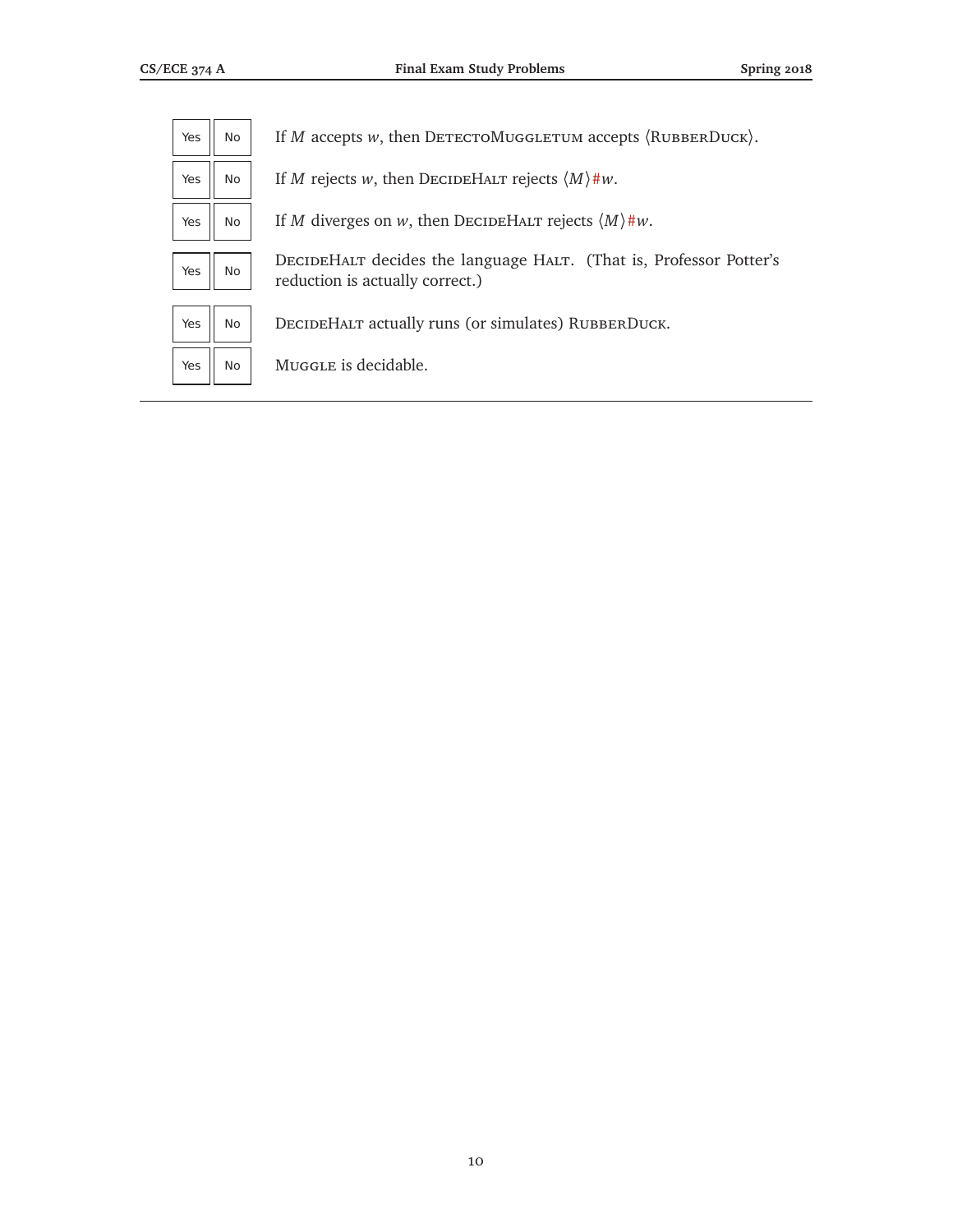| Yes | No        | If M accepts w, then DETECTOMUGGLETUM accepts $\langle$ RUBBERDUCK $\rangle$ .                        |
|-----|-----------|-------------------------------------------------------------------------------------------------------|
| Yes | No        | If M rejects w, then DECIDEHALT rejects $\langle M \rangle$ #w.                                       |
| Yes | <b>No</b> | If M diverges on w, then DECIDEHALT rejects $\langle M \rangle \# w$ .                                |
| Yes | No        | DECIDEHALT decides the language HALT. (That is, Professor Potter's<br>reduction is actually correct.) |
| Yes | No        | DECIDEHALT actually runs (or simulates) RUBBERDUCK.                                                   |
| Yes | No        | Muggle is decidable.                                                                                  |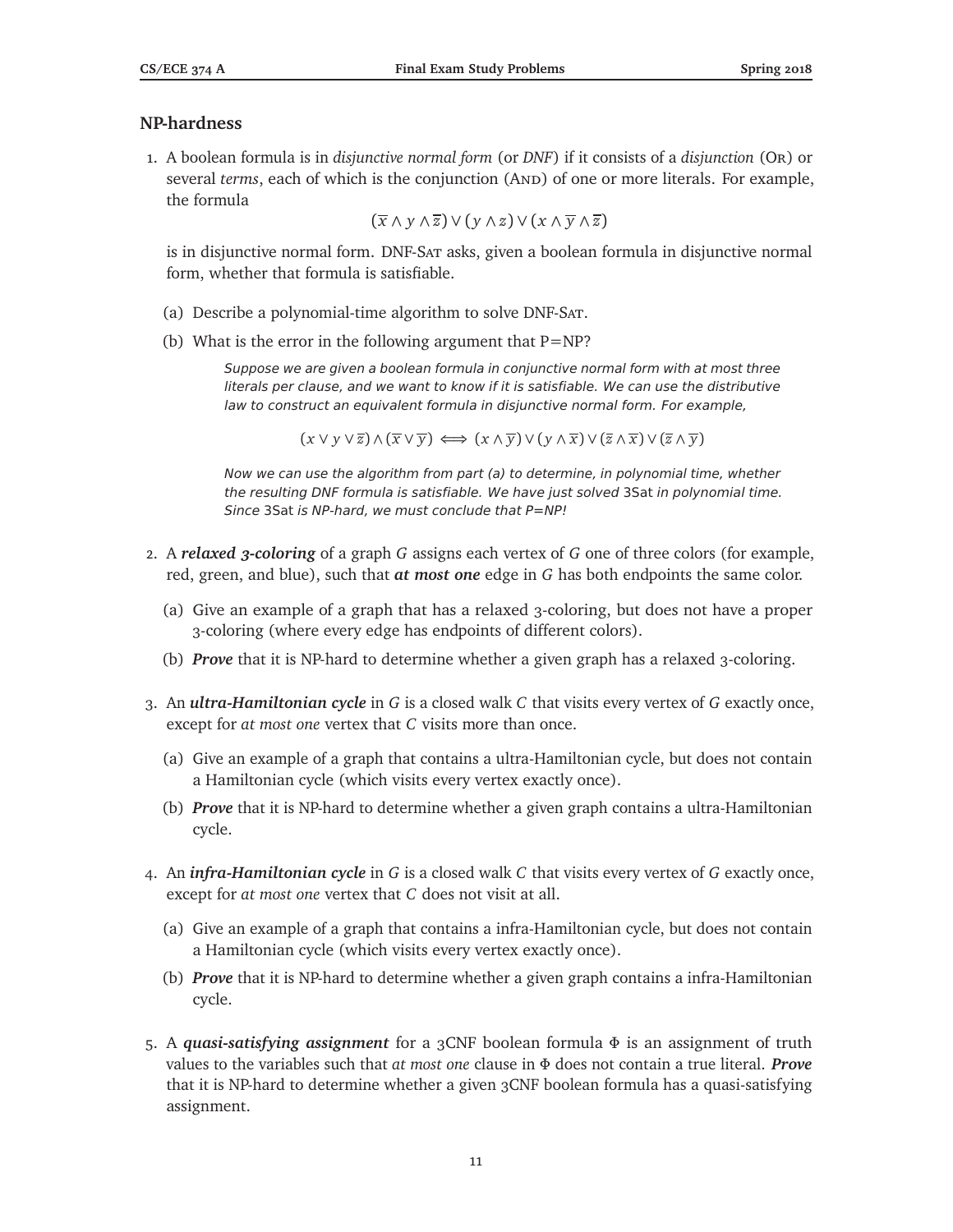#### **NP-hardness**

1. A boolean formula is in *disjunctive normal form* (or *DNF*) if it consists of a *disjunction* (Or) or several *terms*, each of which is the conjunction (AND) of one or more literals. For example, the formula

(*x* ∧ *y* ∧ *z*) ∨ ( *y* ∧ *z*) ∨ (*x* ∧ *y* ∧ *z*)

is in disjunctive normal form. DNF-Sat asks, given a boolean formula in disjunctive normal form, whether that formula is satisfiable.

- (a) Describe a polynomial-time algorithm to solve DNF-Sat.
- (b) What is the error in the following argument that  $P=NP$ ?

Suppose we are given a boolean formula in conjunctive normal form with at most three literals per clause, and we want to know if it is satisfiable. We can use the distributive law to construct an equivalent formula in disjunctive normal form. For example,

 $(x \vee y \vee \overline{z}) \wedge (\overline{x} \vee \overline{y}) \Longleftrightarrow (x \wedge \overline{y}) \vee (y \wedge \overline{x}) \vee (\overline{z} \wedge \overline{x}) \vee (\overline{z} \wedge \overline{y})$ 

Now we can use the algorithm from part (a) to determine, in polynomial time, whether the resulting DNF formula is satisfiable. We have just solved 3Sat in polynomial time. Since 3Sat is NP-hard, we must conclude that P=NP!

- 2. A *relaxed 3-coloring* of a graph *G* assigns each vertex of *G* one of three colors (for example, red, green, and blue), such that *at most one* edge in *G* has both endpoints the same color.
	- (a) Give an example of a graph that has a relaxed 3-coloring, but does not have a proper 3-coloring (where every edge has endpoints of different colors).
	- (b) *Prove* that it is NP-hard to determine whether a given graph has a relaxed 3-coloring.
- 3. An *ultra-Hamiltonian cycle* in *G* is a closed walk *C* that visits every vertex of *G* exactly once, except for *at most one* vertex that *C* visits more than once.
	- (a) Give an example of a graph that contains a ultra-Hamiltonian cycle, but does not contain a Hamiltonian cycle (which visits every vertex exactly once).
	- (b) *Prove* that it is NP-hard to determine whether a given graph contains a ultra-Hamiltonian cycle.
- 4. An *infra-Hamiltonian cycle* in *G* is a closed walk *C* that visits every vertex of *G* exactly once, except for *at most one* vertex that *C* does not visit at all.
	- (a) Give an example of a graph that contains a infra-Hamiltonian cycle, but does not contain a Hamiltonian cycle (which visits every vertex exactly once).
	- (b) *Prove* that it is NP-hard to determine whether a given graph contains a infra-Hamiltonian cycle.
- 5. A *quasi-satisfying assignment* for a 3CNF boolean formula *Φ* is an assignment of truth values to the variables such that *at most one* clause in *Φ* does not contain a true literal. *Prove* that it is NP-hard to determine whether a given 3CNF boolean formula has a quasi-satisfying assignment.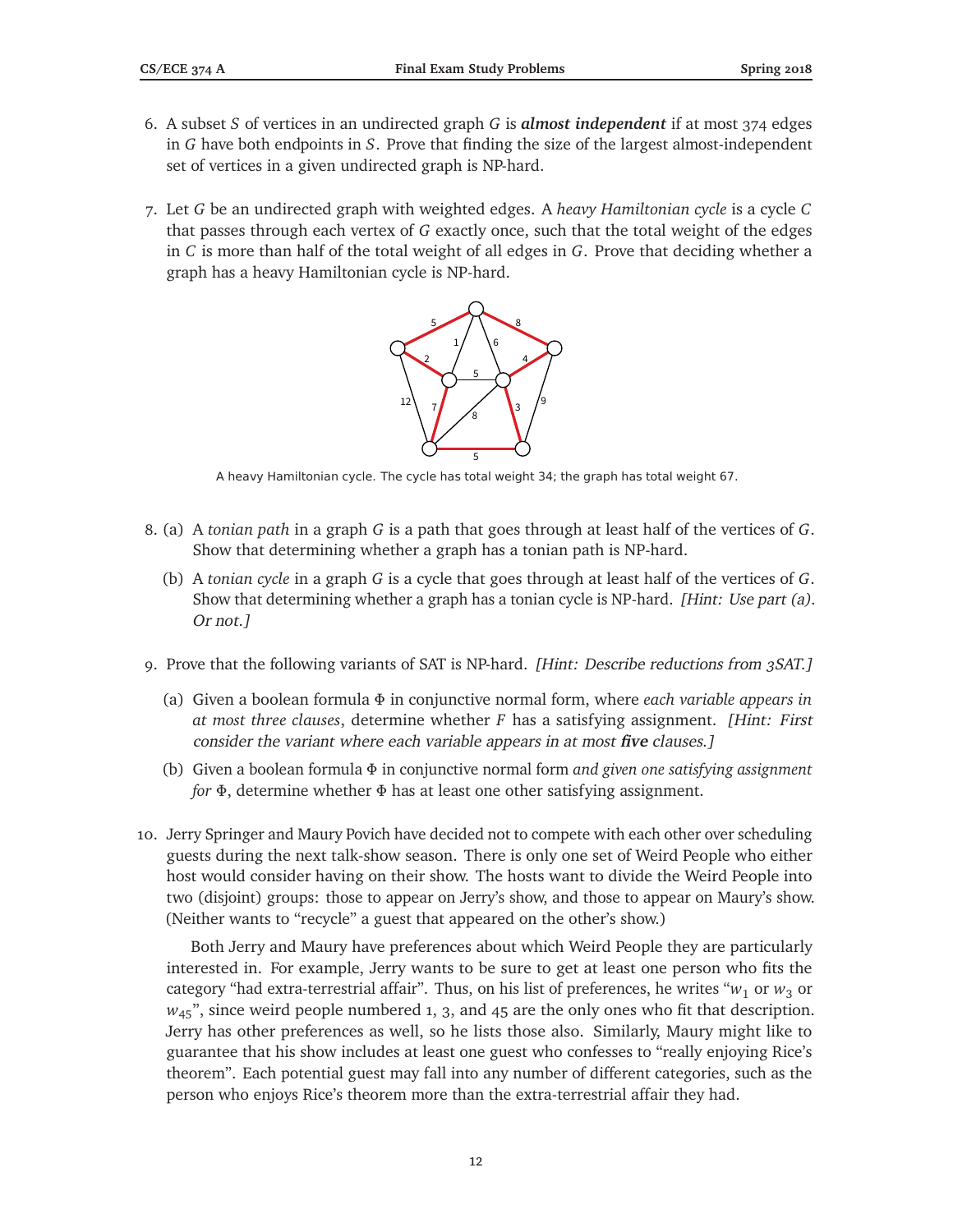- 6. A subset *S* of vertices in an undirected graph *G* is *almost independent* if at most 374 edges in *G* have both endpoints in *S*. Prove that finding the size of the largest almost-independent set of vertices in a given undirected graph is NP-hard.
- 7. Let *G* be an undirected graph with weighted edges. A *heavy Hamiltonian cycle* is a cycle *C* that passes through each vertex of *G* exactly once, such that the total weight of the edges in *C* is more than half of the total weight of all edges in *G*. Prove that deciding whether a graph has a heavy Hamiltonian cycle is NP-hard.



A heavy Hamiltonian cycle. The cycle has total weight 34; the graph has total weight 67.

- 8. (a) A *tonian path* in a graph *G* is a path that goes through at least half of the vertices of *G*. Show that determining whether a graph has a tonian path is NP-hard.
	- (b) A *tonian cycle* in a graph *G* is a cycle that goes through at least half of the vertices of *G*. Show that determining whether a graph has a tonian cycle is NP-hard. [Hint: Use part (a). Or not.]
- 9. Prove that the following variants of SAT is NP-hard. [Hint: Describe reductions from 3SAT.]
	- (a) Given a boolean formula *Φ* in conjunctive normal form, where *each variable appears in at most three clauses*, determine whether *F* has a satisfying assignment. [Hint: First consider the variant where each variable appears in at most **five** clauses.]
	- (b) Given a boolean formula *Φ* in conjunctive normal form *and given one satisfying assignment for Φ*, determine whether *Φ* has at least one other satisfying assignment.
- 10. Jerry Springer and Maury Povich have decided not to compete with each other over scheduling guests during the next talk-show season. There is only one set of Weird People who either host would consider having on their show. The hosts want to divide the Weird People into two (disjoint) groups: those to appear on Jerry's show, and those to appear on Maury's show. (Neither wants to "recycle" a guest that appeared on the other's show.)

Both Jerry and Maury have preferences about which Weird People they are particularly interested in. For example, Jerry wants to be sure to get at least one person who fits the category "had extra-terrestrial affair". Thus, on his list of preferences, he writes " $w_1$  or  $w_3$  or  $w_{45}$ ", since weird people numbered 1, 3, and 45 are the only ones who fit that description. Jerry has other preferences as well, so he lists those also. Similarly, Maury might like to guarantee that his show includes at least one guest who confesses to "really enjoying Rice's theorem". Each potential guest may fall into any number of different categories, such as the person who enjoys Rice's theorem more than the extra-terrestrial affair they had.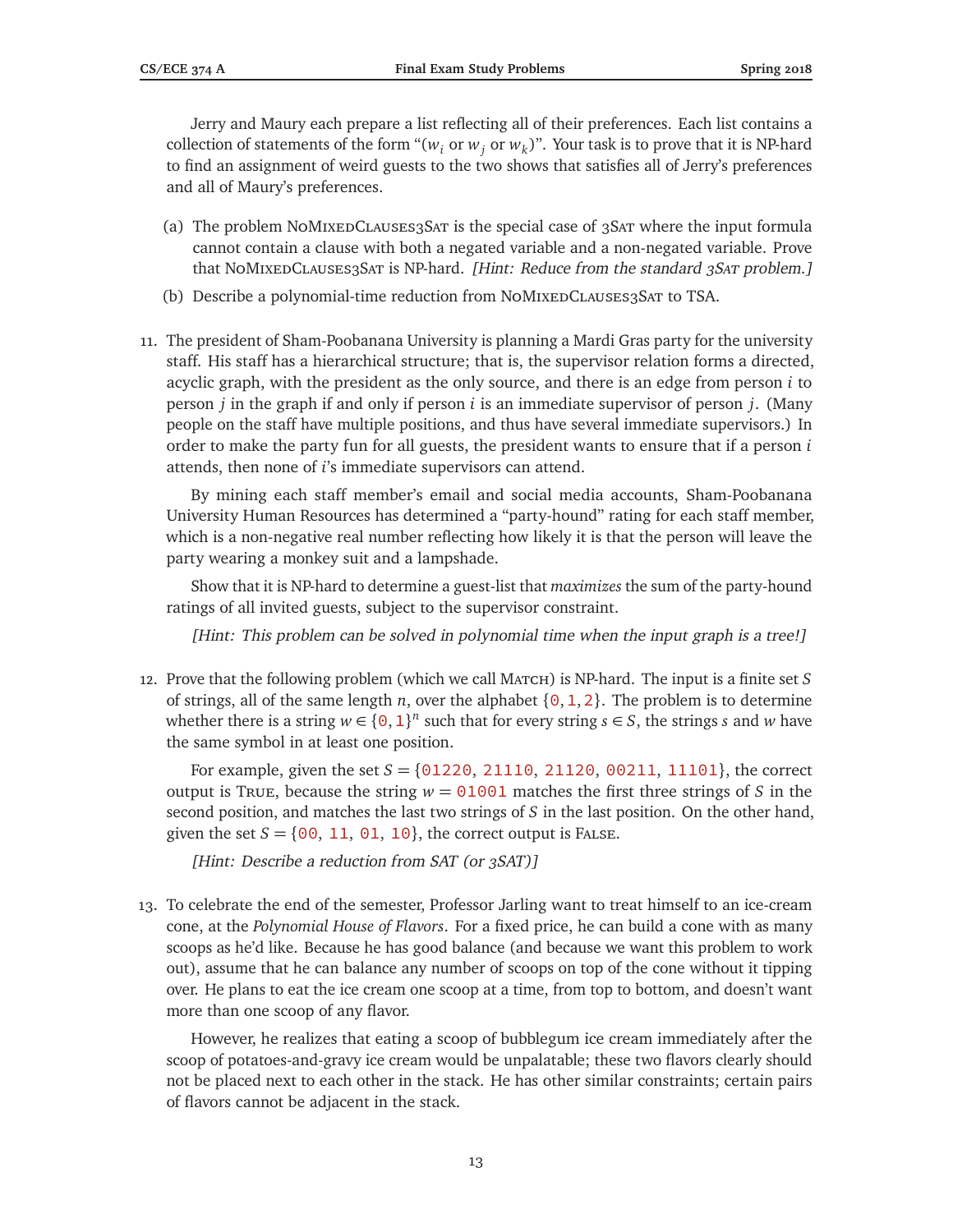Jerry and Maury each prepare a list reflecting all of their preferences. Each list contains a collection of statements of the form " $(w_i \text{ or } w_j \text{ or } w_k)$ ". Your task is to prove that it is NP-hard to find an assignment of weird guests to the two shows that satisfies all of Jerry's preferences and all of Maury's preferences.

- (a) The problem  $N$ oMIxEDCLAUSES3SAT is the special case of 3SAT where the input formula cannot contain a clause with both a negated variable and a non-negated variable. Prove that NoMIXEDCLAUSES3SAT is NP-hard. [Hint: Reduce from the standard 3SAT problem.]
- (b) Describe a polynomial-time reduction from NoMIXEDCLAUSES3SAT to TSA.
- 11. The president of Sham-Poobanana University is planning a Mardi Gras party for the university staff. His staff has a hierarchical structure; that is, the supervisor relation forms a directed, acyclic graph, with the president as the only source, and there is an edge from person *i* to person *j* in the graph if and only if person *i* is an immediate supervisor of person *j*. (Many people on the staff have multiple positions, and thus have several immediate supervisors.) In order to make the party fun for all guests, the president wants to ensure that if a person *i* attends, then none of *i*'s immediate supervisors can attend.

By mining each staff member's email and social media accounts, Sham-Poobanana University Human Resources has determined a "party-hound" rating for each staff member, which is a non-negative real number reflecting how likely it is that the person will leave the party wearing a monkey suit and a lampshade.

Show that it is NP-hard to determine a guest-list that *maximizes* the sum of the party-hound ratings of all invited guests, subject to the supervisor constraint.

[Hint: This problem can be solved in polynomial time when the input graph is a tree!]

12. Prove that the following problem (which we call March) is NP-hard. The input is a finite set  $S$ of strings, all of the same length *n*, over the alphabet  $\{0, 1, 2\}$ . The problem is to determine whether there is a string  $w \in \{0, 1\}^n$  such that for every string  $s \in S$ , the strings *s* and *w* have the same symbol in at least one position.

For example, given the set  $S = \{0.1220, 21110, 21120, 00211, 11101\}$ , the correct output is True, because the string  $w = 01001$  matches the first three strings of S in the second position, and matches the last two strings of *S* in the last position. On the other hand, given the set  $S = \{00, 11, 01, 10\}$ , the correct output is FALSE.

[Hint: Describe a reduction from SAT (or 3SAT)]

13. To celebrate the end of the semester, Professor Jarling want to treat himself to an ice-cream cone, at the *Polynomial House of Flavors*. For a fixed price, he can build a cone with as many scoops as he'd like. Because he has good balance (and because we want this problem to work out), assume that he can balance any number of scoops on top of the cone without it tipping over. He plans to eat the ice cream one scoop at a time, from top to bottom, and doesn't want more than one scoop of any flavor.

However, he realizes that eating a scoop of bubblegum ice cream immediately after the scoop of potatoes-and-gravy ice cream would be unpalatable; these two flavors clearly should not be placed next to each other in the stack. He has other similar constraints; certain pairs of flavors cannot be adjacent in the stack.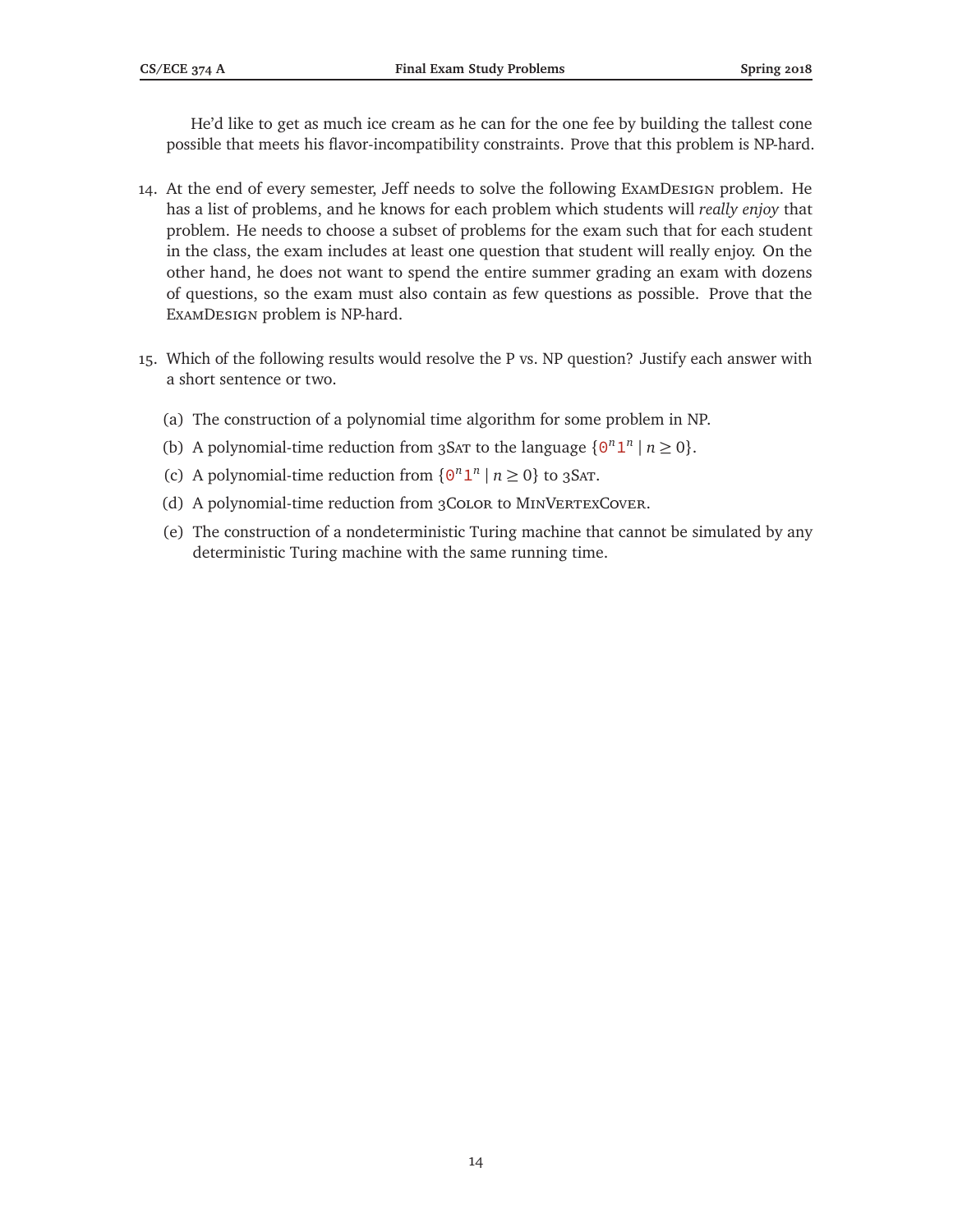He'd like to get as much ice cream as he can for the one fee by building the tallest cone possible that meets his flavor-incompatibility constraints. Prove that this problem is NP-hard.

- 14. At the end of every semester, Jeff needs to solve the following ExamDesign problem. He has a list of problems, and he knows for each problem which students will *really enjoy* that problem. He needs to choose a subset of problems for the exam such that for each student in the class, the exam includes at least one question that student will really enjoy. On the other hand, he does not want to spend the entire summer grading an exam with dozens of questions, so the exam must also contain as few questions as possible. Prove that the ExamDesign problem is NP-hard.
- 15. Which of the following results would resolve the P vs. NP question? Justify each answer with a short sentence or two.
	- (a) The construction of a polynomial time algorithm for some problem in NP.
	- (b) A polynomial-time reduction from 3SAT to the language  $\{0^n 1^n \mid n \ge 0\}$ .
	- (c) A polynomial-time reduction from  $\{0^n 1^n \mid n \ge 0\}$  to 3SAT.
	- (d) A polynomial-time reduction from 3CoLOR to MINVERTEXCOVER.
	- (e) The construction of a nondeterministic Turing machine that cannot be simulated by any deterministic Turing machine with the same running time.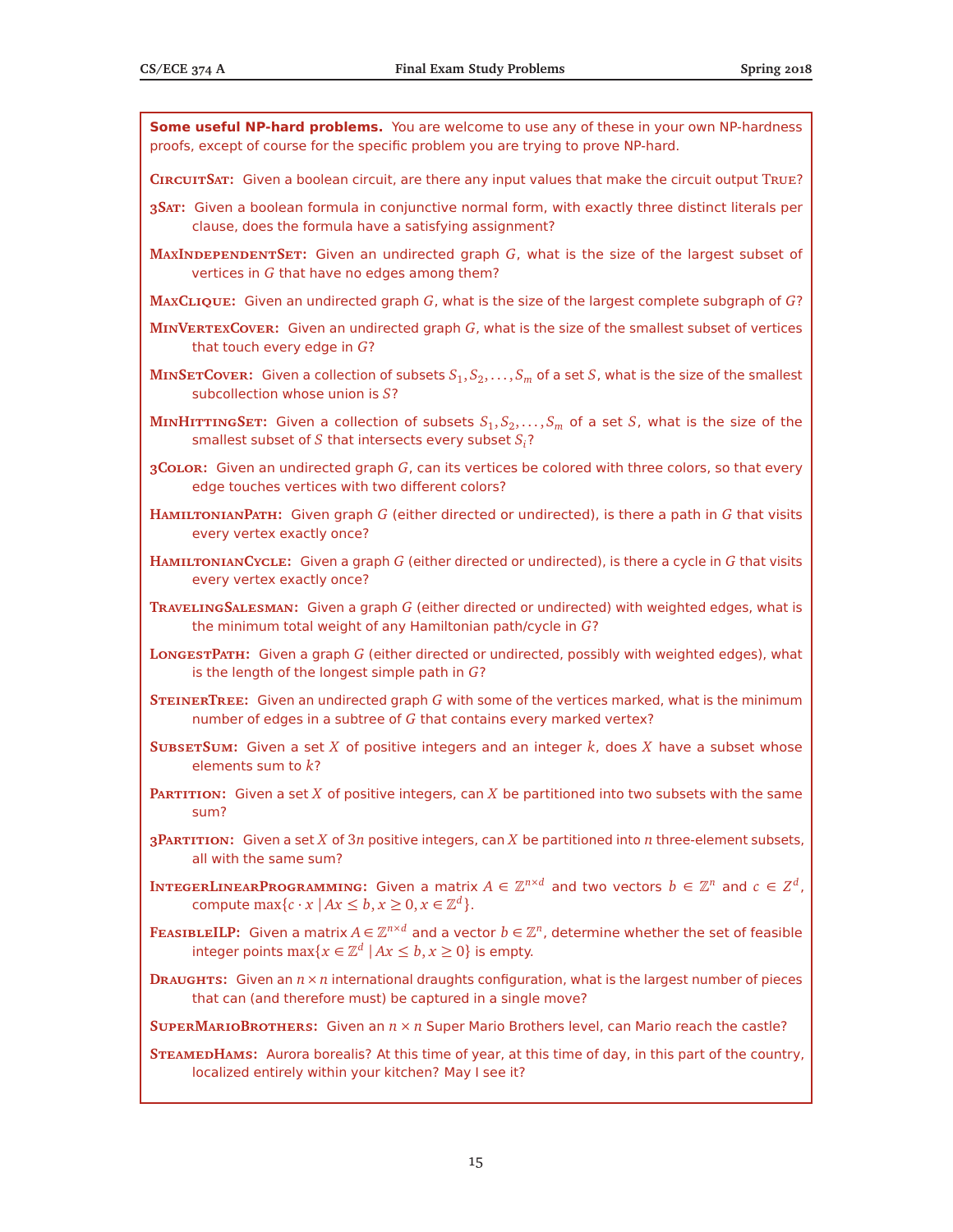**Some useful NP-hard problems.** You are welcome to use any of these in your own NP-hardness proofs, except of course for the specific problem you are trying to prove NP-hard. **CircuitSat:** Given a boolean circuit, are there any input values that make the circuit output True? **3Sat:** Given a boolean formula in conjunctive normal form, with exactly three distinct literals per clause, does the formula have a satisfying assignment? **MAXINDEPENDENTSET:** Given an undirected graph G, what is the size of the largest subset of vertices in *G* that have no edges among them? **MaxClique:** Given an undirected graph *G*, what is the size of the largest complete subgraph of *G*? **MinVertexCover:** Given an undirected graph *G*, what is the size of the smallest subset of vertices that touch every edge in *G*?  $\textbf{M}\textbf{n}\textbf{S}\textbf{F}\textbf{T}\textbf{C}\textbf{ov}\textbf{E}\textbf{R}$ : Given a collection of subsets  $S_1, S_2, \ldots, S_m$  of a set  $S$ , what is the size of the smallest subcollection whose union is *S*?  $\textbf{M}\textbf{I}\textbf{M}\textbf{I}\textbf{I}\textbf{T}\textbf{T}\textbf{I}\textbf{N}\textbf{G}\textbf{S}\textbf{E}\textbf{T}\textbf{:}$  Given a collection of subsets  $S_1, S_2, \ldots, S_m$  of a set  $S$ , what is the size of the smallest subset of *S* that intersects every subset *Si*? **3Color:** Given an undirected graph *G*, can its vertices be colored with three colors, so that every edge touches vertices with two different colors? **HamiltonianPath:** Given graph *G* (either directed or undirected), is there a path in *G* that visits every vertex exactly once? **HamiltonianCycle:** Given a graph *G* (either directed or undirected), is there a cycle in *G* that visits every vertex exactly once? **TravelingSalesman:** Given a graph *G* (either directed or undirected) with weighted edges, what is the minimum total weight of any Hamiltonian path/cycle in *G*? **LongestPath:** Given a graph *G* (either directed or undirected, possibly with weighted edges), what is the length of the longest simple path in *G*? **STEINERTREE:** Given an undirected graph *G* with some of the vertices marked, what is the minimum number of edges in a subtree of *G* that contains every marked vertex? **SubsetSum:** Given a set *X* of positive integers and an integer *k*, does *X* have a subset whose elements sum to *k*? **Partition:** Given a set *X* of positive integers, can *X* be partitioned into two subsets with the same sum? **3Partition:** Given a set *X* of 3*n* positive integers, can *X* be partitioned into *n* three-element subsets, all with the same sum?  $\textbf{InverseERLINEARPROGRAMMING: Given a matrix } A \in \mathbb{Z}^{n \times d}$  and two vectors  $b \in \mathbb{Z}^n$  and  $c \in Z^d$  , compute  $\max\{c \cdot x \mid Ax \leq b, x \geq 0, x \in \mathbb{Z}^d\}.$ FEASIBLEILP: Given a matrix  $A \in \mathbb{Z}^{n \times d}$  and a vector  $b \in \mathbb{Z}^n$ , determine whether the set of feasible integer points  $\max\{x\in\mathbb{Z}^d\;|\, Ax\leq b, x\geq 0\}$  is empty. **Draughts:** Given an *n*×*n* international draughts configuration, what is the largest number of pieces that can (and therefore must) be captured in a single move? **SuperMarioBrothers:** Given an *n* × *n* Super Mario Brothers level, can Mario reach the castle? **SteamedHams:** Aurora borealis? At this time of year, at this time of day, in this part of the country, localized entirely within your kitchen? May I see it?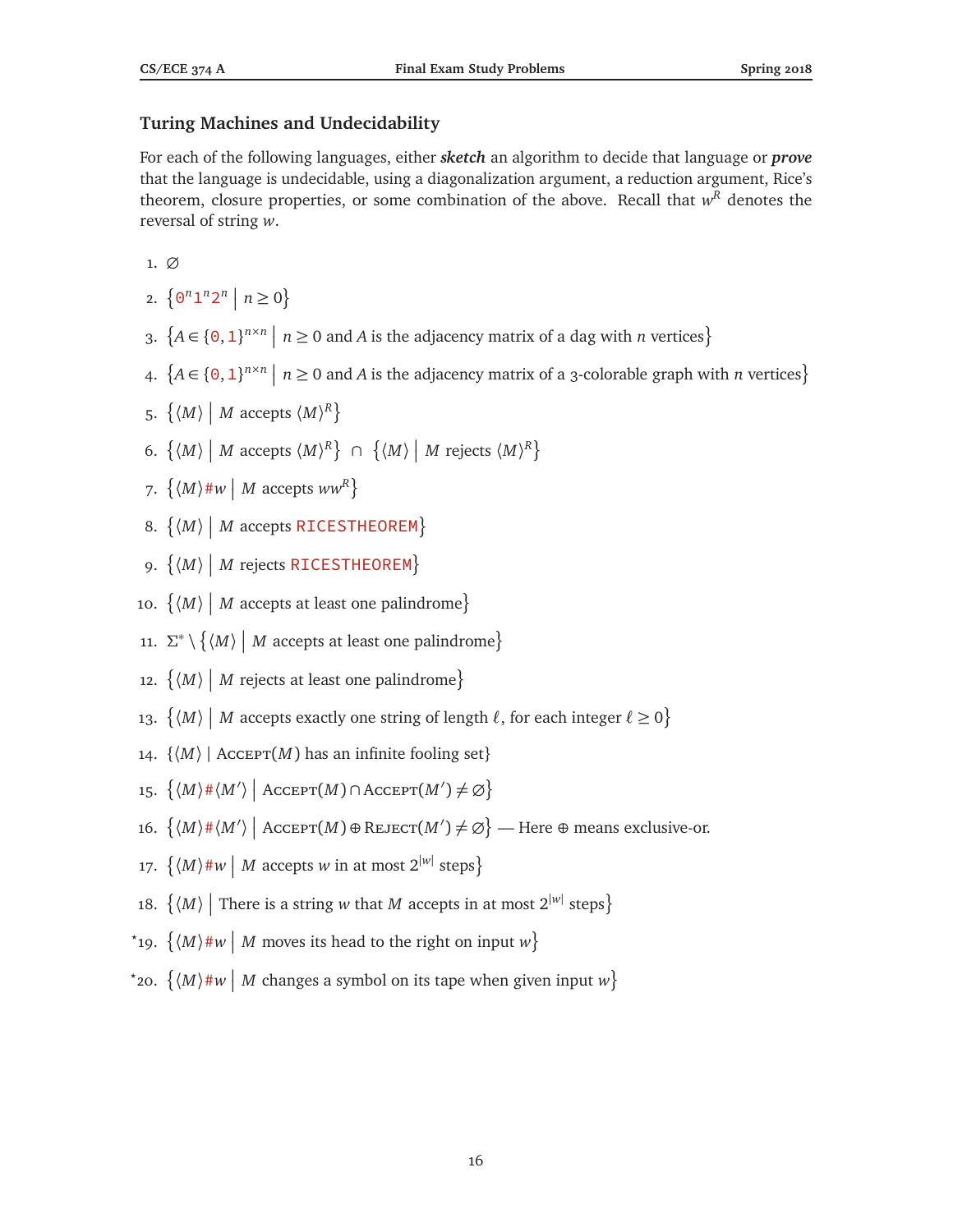### **Turing Machines and Undecidability**

For each of the following languages, either *sketch* an algorithm to decide that language or *prove* that the language is undecidable, using a diagonalization argument, a reduction argument, Rice's theorem, closure properties, or some combination of the above. Recall that  $w<sup>R</sup>$  denotes the reversal of string *w*.

1. ∅

- 2.  $\{ \Theta^n 1^n 2^n \mid n \geq 0 \}$
- 3.  ${A \in \{0,1\}^{n \times n} \mid n \ge 0 \text{ and } A \text{ is the adjacency matrix of a dag with } n \text{ vertices}}$
- 4.  ${A \in \{0,1\}^{n \times n} \mid n \ge 0 \text{ and } A \text{ is the adjacency matrix of a 3-colorable graph with } n \text{ vertices}}$
- 5.  $\left\{ \langle M \rangle \middle| M \text{ accepts } \langle M \rangle^R \right\}$
- 6.  $\{(M) | M \text{ accepts } \langle M \rangle^R\} \cap \{(M) | M \text{ rejects } \langle M \rangle^R\}$
- 7.  $\left\{ \langle M \rangle \# w \mid M \text{ accepts } ww^R \right\}$
- 8.  $\{M\}$  *M* accepts RICESTHEOREM}
- 9.  $\{(M) | M$  rejects RICESTHEOREM}
- 10.  $\{(M) | M$  accepts at least one palindrome}
- 11. Σ<sup>\*</sup> ∖ { $\langle M \rangle$  | *M* accepts at least one palindrome}
- 12.  $\{(M) | M \text{ rejects at least one palindrome}\}$
- 13.  $\{(M) | M \text{ accepts exactly one string of length } \ell, \text{ for each integer } \ell \geq 0\}$
- 14.  $\{(M) |$  Accept $(M)$  has an infinite fooling set}
- 15.  $\{(M) \# \langle M' \rangle \mid \text{Accept}(M) \cap \text{Accept}(M') \neq \emptyset\}$
- 16.  $\left\{ \langle M \rangle \#\langle M' \rangle \mid \text{AccEPT}(M) \oplus \text{REJECT}(M') \neq \varnothing \right\}$  Here  $\oplus$  means exclusive-or.
- 17.  $\{(M) \# w \mid M \text{ accepts } w \text{ in at most } 2^{|w|} \text{ steps}\}$
- 18.  $\left\{\langle M\rangle\ \right|\ \text{There is a string $w$ that $M$ accepts in at most $2^{|w|}$ steps\}$
- \*19.  $\{(M) \# w \mid M \text{ moves its head to the right on input } w\}$
- \*20.  $\left\{ \langle M \rangle \# w \mid M \text{ changes a symbol on its tape when given input } w \right\}$